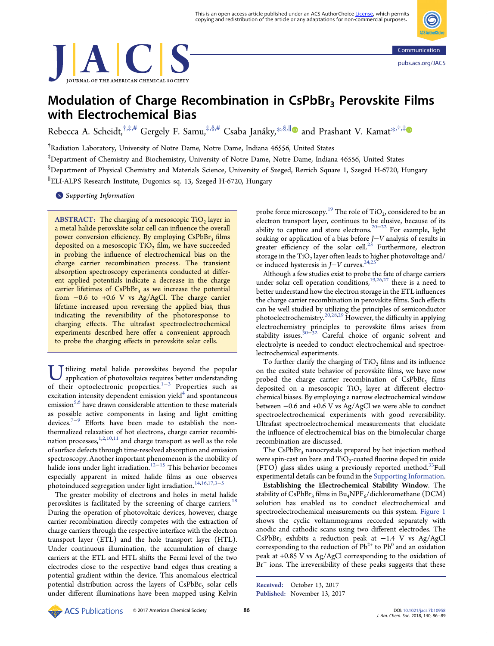



# Modulation of Charge Recombination in  $CsPbBr<sub>3</sub>$  Perovskite Films with Electrochemical Bias

Rebecca A. Scheidt,<sup>†,‡,[#](#page-3-0)</sup> Gergely F. Samu,<sup>‡,§,#</sup> Csaba Janáky,<sup>[\\*](#page-3-0),§,||</sup>■ and Prashant V. Kamat<sup>\*,†,[‡](#page-3-0)</sup>

† Radiation Laboratory, University of Notre Dame, Notre Dame, Indiana 46556, United States

‡ Department of Chemistry and Biochemistry, University of Notre Dame, Notre Dame, Indiana 46556, United States

 $^{\$}$ Department of Physical Chemistry and Materials Science, University of Szeged, Rerrich Square 1, Szeged H-6720, Hungary

∥ ELI-ALPS Research Institute, Dugonics sq. 13, Szeged H-6720, Hungary

**S** [Supporting Information](#page-3-0)

ABSTRACT: The charging of a mesoscopic  $TiO<sub>2</sub>$  layer in a metal halide perovskite solar cell can influence the overall power conversion efficiency. By employing CsPbBr<sub>3</sub> films deposited on a mesoscopic  $TiO<sub>2</sub>$  film, we have succeeded in probing the influence of electrochemical bias on the charge carrier recombination process. The transient absorption spectroscopy experiments conducted at different applied potentials indicate a decrease in the charge carrier lifetimes of  $CsPbBr<sub>3</sub>$  as we increase the potential from −0.6 to +0.6 V vs Ag/AgCl. The charge carrier lifetime increased upon reversing the applied bias, thus indicating the reversibility of the photoresponse to charging effects. The ultrafast spectroelectrochemical experiments described here offer a convenient approach to probe the charging effects in perovskite solar cells.

T tilizing metal halide perovskites beyond the popular application of photovoltaics requires better understanding of their optoelectronic properties.1−<sup>3</sup> Properties such as excitation intensity dependent emission yield $4$  and spontaneous emission $5.6$  have drawn considerable attention to these materials as possible active components in lasing and light emitting devices.[7](#page-3-0)−[9](#page-3-0) Efforts have been made to establish the nonthermalized relaxation of hot electrons, charge carrier recombination processes, $1,2,10,11$  $1,2,10,11$  $1,2,10,11$  $1,2,10,11$  $1,2,10,11$  and charge transport as well as the role of surface defects through time-resolved absorption and emission spectroscopy. Another important phenomenon is the mobility of halide ions under light irradiation.[12](#page-3-0)−[15](#page-3-0) This behavior becomes especially apparent in mixed halide films as one observes photoinduced segregation under light irradiation. $14,16,17,3-5$  $14,16,17,3-5$  $14,16,17,3-5$  $14,16,17,3-5$  $14,16,17,3-5$  $14,16,17,3-5$  $14,16,17,3-5$ 

The greater mobility of electrons and holes in metal halide perovskites is facilitated by the screening of charge carriers.<sup>[18](#page-3-0)</sup> During the operation of photovoltaic devices, however, charge carrier recombination directly competes with the extraction of charge carriers through the respective interface with the electron transport layer (ETL) and the hole transport layer (HTL). Under continuous illumination, the accumulation of charge carriers at the ETL and HTL shifts the Fermi level of the two electrodes close to the respective band edges thus creating a potential gradient within the device. This anomalous electrical potential distribution across the layers of  $CsPbBr<sub>3</sub>$  solar cells under different illuminations have been mapped using Kelvin

probe force microscopy.<sup>[19](#page-3-0)</sup> The role of TiO<sub>2</sub>, considered to be an electron transport layer, continues to be elusive, because of its ability to capture and store electrons.[20](#page-3-0)−[22](#page-3-0) For example, light soaking or application of a bias before J−V analysis of results in greater efficiency of the solar cell.<sup>[23](#page-3-0)</sup> Furthermore, electron storage in the  $TiO<sub>2</sub>$  layer often leads to higher photovoltage and/ or induced hysteresis in  $J-V$  curves.<sup>[24,25](#page-3-0)</sup>

Although a few studies exist to probe the fate of charge carriers under solar cell operation conditions,<sup>[19](#page-3-0),[26,27](#page-3-0)</sup> there is a need to better understand how the electron storage in the ETL influences the charge carrier recombination in perovskite films. Such effects can be well studied by utilizing the principles of semiconductor photoelectrochemistry.[20](#page-3-0),[28,29](#page-3-0) However, the difficulty in applying electrochemistry principles to perovskite films arises from stability issues.<sup>[30](#page-3-0)–[32](#page-3-0)</sup> Careful choice of organic solvent and electrolyte is needed to conduct electrochemical and spectroelectrochemical experiments.

To further clarify the charging of  $TiO<sub>2</sub>$  films and its influence on the excited state behavior of perovskite films, we have now probed the charge carrier recombination of  $CsPbBr<sub>3</sub>$  films deposited on a mesoscopic  $TiO<sub>2</sub>$  layer at different electrochemical biases. By employing a narrow electrochemical window between −0.6 and +0.6 V vs Ag/AgCl we were able to conduct spectroelectrochemical experiments with good reversibility. Ultrafast spectroelectrochemical measurements that elucidate the influence of electrochemical bias on the bimolecular charge recombination are discussed.

The  $CsPbBr<sub>3</sub>$  nanocrystals prepared by hot injection method were spin-cast on bare and  $TiO<sub>2</sub>$ -coated fluorine doped tin oxide  $(FTO)$  glass slides using a previously reported method.<sup>33</sup>Full experimental details can be found in the [Supporting Information.](http://pubs.acs.org/doi/suppl/10.1021/jacs.7b10958/suppl_file/ja7b10958_si_001.pdf)

Establishing the Electrochemical Stability Window. The stability of  $\mathsf{CsPbBr}_3$  films in  $\text{Bu}_4\text{NPF}_6/\text{dichloromethane (DCM)}$ solution has enabled us to conduct electrochemical and spectroelectrochemical measurements on this system. [Figure 1](#page-1-0) shows the cyclic voltammograms recorded separately with anodic and cathodic scans using two different electrodes. The CsPbBr3 exhibits a reduction peak at −1.4 V vs Ag/AgCl corresponding to the reduction of  $Pb^{2+}$  to  $Pb^0$  and an oxidation peak at +0.85 V vs Ag/AgCl corresponding to the oxidation of Br<sup>−</sup> ions. The irreversibility of these peaks suggests that these

Received: October 13, 2017 Published: November 13, 2017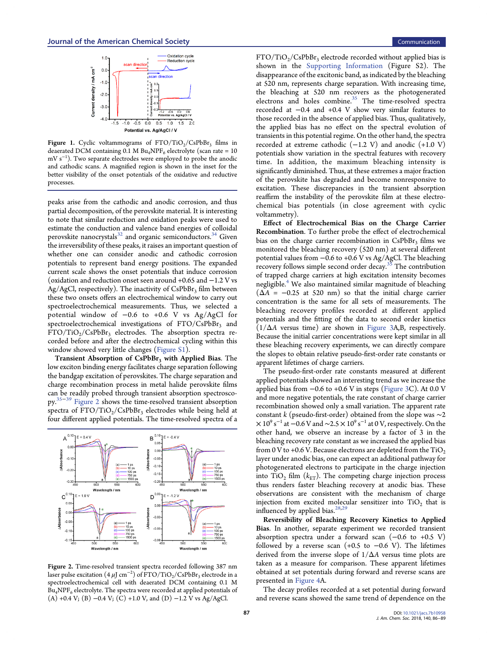<span id="page-1-0"></span>

Figure 1. Cyclic voltammograms of  $FTO/TiO_2/CsPbBr_3$  films in deaerated DCM containing 0.1 M  $Bu_4NPF_6$  electrolyte (scan rate = 10 mV s<sup>−1</sup>). Two separate electrodes were employed to probe the anodic and cathodic scans. A magnified region is shown in the inset for the better visibility of the onset potentials of the oxidative and reductive processes.

peaks arise from the cathodic and anodic corrosion, and thus partial decomposition, of the perovskite material. It is interesting to note that similar reduction and oxidation peaks were used to estimate the conduction and valence band energies of colloidal perovskite nanocrystals $32$  and organic semiconductors.<sup>[34](#page-3-0)</sup> Given the irreversibility of these peaks, it raises an important question of whether one can consider anodic and cathodic corrosion potentials to represent band energy positions. The expanded current scale shows the onset potentials that induce corrosion (oxidation and reduction onset seen around +0.65 and −1.2 V vs  $Ag/AgCl$ , respectively). The inactivity of  $CsPbBr<sub>3</sub>$  film between these two onsets offers an electrochemical window to carry out spectroelectrochemical measurements. Thus, we selected a potential window of −0.6 to +0.6 V vs Ag/AgCl for spectroelectrochemical investigations of  $FTO/CsPbBr<sub>3</sub>$  and  $FTO/TiO_2/CsPbBr_3$  electrodes. The absorption spectra recorded before and after the electrochemical cycling within this window showed very little changes ([Figure S1\)](http://pubs.acs.org/doi/suppl/10.1021/jacs.7b10958/suppl_file/ja7b10958_si_001.pdf).

Transient Absorption of  $CsPbBr<sub>3</sub>$  with Applied Bias. The low exciton binding energy facilitates charge separation following the bandgap excitation of perovskites. The charge separation and charge recombination process in metal halide perovskite films can be readily probed through transient absorption spectroscopy.[35](#page-3-0)<sup>−</sup>[39](#page-3-0) Figure 2 shows the time-resolved transient absorption spectra of  $FTO/TiO_2/CsPbBr_3$  electrodes while being held at four different applied potentials. The time-resolved spectra of a



Figure 2. Time-resolved transient spectra recorded following 387 nm laser pulse excitation  $(4 \,\mu\text{J cm}^{-2})$  of FTO/TiO<sub>2</sub>/CsPbBr<sub>3</sub> electrode in a spectroelectrochemical cell with deaerated DCM containing 0.1 M  $\rm{Bu_4NPF_6}$  electrolyte. The spectra were recorded at applied potentials of (A) +0.4 V; (B) −0.4 V; (C) +1.0 V, and (D) −1.2 V vs Ag/AgCl.

 $FTO/TiO<sub>2</sub>/CsPbBr<sub>3</sub>$  electrode recorded without applied bias is shown in the [Supporting Information](http://pubs.acs.org/doi/suppl/10.1021/jacs.7b10958/suppl_file/ja7b10958_si_001.pdf) (Figure S2). The disappearance of the excitonic band, as indicated by the bleaching at 520 nm, represents charge separation. With increasing time, the bleaching at 520 nm recovers as the photogenerated electrons and holes combine.<sup>[35](#page-3-0)</sup> The time-resolved spectra recorded at −0.4 and +0.4 V show very similar features to those recorded in the absence of applied bias. Thus, qualitatively, the applied bias has no effect on the spectral evolution of transients in this potential regime. On the other hand, the spectra recorded at extreme cathodic  $(-1.2 \text{ V})$  and anodic  $(+1.0 \text{ V})$ potentials show variation in the spectral features with recovery time. In addition, the maximum bleaching intensity is significantly diminished. Thus, at these extremes a major fraction of the perovskite has degraded and become nonresponsive to excitation. These discrepancies in the transient absorption reaffirm the instability of the perovskite film at these electrochemical bias potentials (in close agreement with cyclic voltammetry).

Effect of Electrochemical Bias on the Charge Carrier Recombination. To further probe the effect of electrochemical bias on the charge carrier recombination in  $CsPbBr<sub>3</sub>$  films we monitored the bleaching recovery (520 nm) at several different potential values from −0.6 to +0.6 V vs Ag/AgCl. The bleaching recovery follows simple second order decay.<sup>[35](#page-3-0)</sup> The contribution of trapped charge carriers at high excitation intensity becomes negligible.<sup>[4](#page-3-0)</sup> We also maintained similar magnitude of bleaching  $(\Delta A = -0.25$  at 520 nm) so that the initial charge carrier concentration is the same for all sets of measurements. The bleaching recovery profiles recorded at different applied potentials and the fitting of the data to second order kinetics  $(1/\Delta A$  versus time) are shown in [Figure 3](#page-2-0)A,B, respectively. Because the initial carrier concentrations were kept similar in all these bleaching recovery experiments, we can directly compare the slopes to obtain relative pseudo-first-order rate constants or apparent lifetimes of charge carriers.

The pseudo-first-order rate constants measured at different applied potentials showed an interesting trend as we increase the applied bias from −0.6 to +0.6 V in steps [\(Figure 3C](#page-2-0)). At 0.0 V and more negative potentials, the rate constant of charge carrier recombination showed only a small variation. The apparent rate constant k (pseudo-first-order) obtained from the slope was  $\sim$ 2  $\times$  10 $^9$  s $^{-1}$  at  $-0.6$  V and  $\sim$ 2.5  $\times$  10 $^9$  s $^{-1}$  at 0 V, respectively. On the other hand, we observe an increase by a factor of 3 in the bleaching recovery rate constant as we increased the applied bias from 0 V to +0.6 V. Because electrons are depleted from the  $TiO<sub>2</sub>$ layer under anodic bias, one can expect an additional pathway for photogenerated electrons to participate in the charge injection into  $TiO<sub>2</sub>$  film ( $k_{ET}$ ). The competing charge injection process thus renders faster bleaching recovery at anodic bias. These observations are consistent with the mechanism of charge injection from excited molecular sensitizer into  $TiO<sub>2</sub>$  that is influenced by applied bias.<sup>[28](#page-3-0),[29](#page-3-0)</sup>

Reversibility of Bleaching Recovery Kinetics to Applied Bias. In another, separate experiment we recorded transient absorption spectra under a forward scan  $(-0.6 \text{ to } +0.5 \text{ V})$ followed by a reverse scan  $(+0.5 \text{ to } -0.6 \text{ V})$ . The lifetimes derived from the inverse slope of  $1/\Delta A$  versus time plots are taken as a measure for comparison. These apparent lifetimes obtained at set potentials during forward and reverse scans are presented in [Figure 4](#page-2-0)A.

The decay profiles recorded at a set potential during forward and reverse scans showed the same trend of dependence on the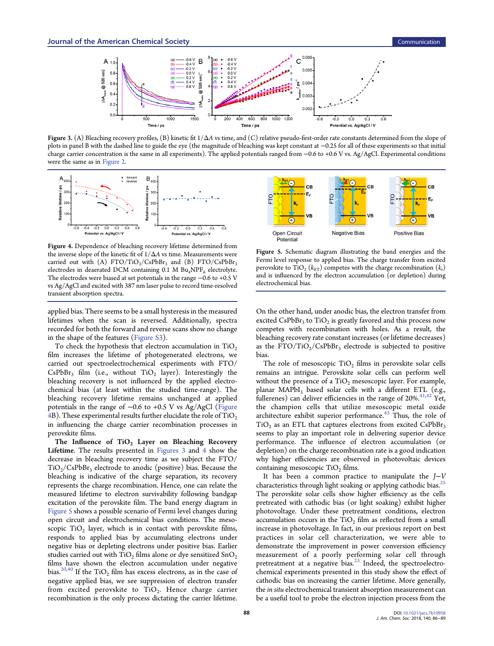<span id="page-2-0"></span>

Figure 3. (A) Bleaching recovery profiles, (B) kinetic fit  $1/\Delta A$  vs time, and (C) relative pseudo-first-order rate constants determined from the slope of plots in panel B with the dashed line to guide the eye (the magnitude of bleaching was kept constant at −0.25 for all of these experiments so that initial charge carrier concentration is the same in all experiments). The applied potentials ranged from −0.6 to +0.6 V vs. Ag/AgCl. Experimental conditions were the same as in [Figure 2](#page-1-0).



Figure 4. Dependence of bleaching recovery lifetime determined from the inverse slope of the kinetic fit of  $1/\Delta A$  vs time. Measurements were carried out with (A) FTO/TiO<sub>2</sub>/CsPbBr<sub>3</sub> and (B) FTO/CsPbBr<sub>3</sub> electrodes in deaerated DCM containing 0.1 M Bu<sub>4</sub>NPF<sub>6</sub> electrolyte. The electrodes were biased at set potentials in the range −0.6 to +0.5 V vs Ag/AgCl and excited with 387 nm laser pulse to record time-resolved transient absorption spectra.

applied bias. There seems to be a small hysteresis in the measured lifetimes when the scan is reversed. Additionally, spectra recorded for both the forward and reverse scans show no change in the shape of the features ([Figure S3](http://pubs.acs.org/doi/suppl/10.1021/jacs.7b10958/suppl_file/ja7b10958_si_001.pdf)).

To check the hypothesis that electron accumulation in  $TiO<sub>2</sub>$ film increases the lifetime of photogenerated electrons, we carried out spectroelectrochemical experiments with FTO/  $CsPbBr<sub>3</sub>$  film (i.e., without TiO<sub>2</sub> layer). Interestingly the bleaching recovery is not influenced by the applied electrochemical bias (at least within the studied time-range). The bleaching recovery lifetime remains unchanged at applied potentials in the range of −0.6 to +0.5 V vs Ag/AgCl (Figure 4B). These experimental results further elucidate the role of  $TiO<sub>2</sub>$ in influencing the charge carrier recombination processes in perovskite films.

The Influence of  $TiO<sub>2</sub>$  Layer on Bleaching Recovery Lifetime. The results presented in Figures 3 and 4 show the decrease in bleaching recovery time as we subject the FTO/  $TiO<sub>2</sub>/CsPbBr<sub>3</sub>$  electrode to anodic (positive) bias. Because the bleaching is indicative of the charge separation, its recovery represents the charge recombination. Hence, one can relate the measured lifetime to electron survivability following bandgap excitation of the perovskite film. The band energy diagram in Figure 5 shows a possible scenario of Fermi level changes during open circuit and electrochemical bias conditions. The mesoscopic  $TiO<sub>2</sub>$  layer, which is in contact with perovskite films, responds to applied bias by accumulating electrons under negative bias or depleting electrons under positive bias. Earlier studies carried out with  $TiO<sub>2</sub>$  films alone or dye sensitized  $SnO<sub>2</sub>$ films have shown the electron accumulation under negative bias.  $^{20,40}$  $^{20,40}$  $^{20,40}$  If the  $\rm TiO_2$  film has excess electrons, as in the case of negative applied bias, we see suppression of electron transfer from excited perovskite to  $TiO<sub>2</sub>$ . Hence charge carrier recombination is the only process dictating the carrier lifetime.



Figure 5. Schematic diagram illustrating the band energies and the Fermi level response to applied bias. The charge transfer from excited perovskite to TiO<sub>2</sub> ( $k_{ET}$ ) competes with the charge recombination ( $k_r$ ) and is influenced by the electron accumulation  $($ or depletion $)$  during electrochemical bias.

On the other hand, under anodic bias, the electron transfer from excited  $CsPbBr<sub>3</sub>$  to TiO<sub>2</sub> is greatly favored and this process now competes with recombination with holes. As a result, the bleaching recovery rate constant increases (or lifetime decreases) as the  $FTO/TiO_2/CsPbBr_3$  electrode is subjected to positive bias.

The role of mesoscopic TiO<sub>2</sub> films in perovskite solar cells remains an intrigue. Perovskite solar cells can perform well without the presence of a  $TiO<sub>2</sub>$  mesoscopic layer. For example, planar MAPbI<sub>3</sub> based solar cells with a different ETL (e.g., fullerenes) can deliver efficiencies in the range of  $20\%$ .<sup>[41,42](#page-3-0)</sup> Yet, the champion cells that utilize mesoscopic metal oxide architecture exhibit superior performance. $43$  Thus, the role of  $TiO<sub>2</sub>$  as an ETL that captures electrons from excited CsPbBr<sub>3</sub> seems to play an important role in delivering superior device performance. The influence of electron accumulation (or depletion) on the charge recombination rate is a good indication why higher efficiencies are observed in photovoltaic devices containing mesoscopic  $TiO<sub>2</sub>$  films.

It has been a common practice to manipulate the  $J-V$ characteristics through light soaking or applying cathodic bias.<sup>[25](#page-3-0)</sup> The perovskite solar cells show higher efficiency as the cells pretreated with cathodic bias (or light soaking) exhibit higher photovoltage. Under these pretreatment conditions, electron accumulation occurs in the  $TiO<sub>2</sub>$  film as reflected from a small increase in photovoltage. In fact, in our previous report on best practices in solar cell characterization, we were able to demonstrate the improvement in power conversion efficiency measurement of a poorly performing solar cell through pretreatment at a negative bias.[23](#page-3-0) Indeed, the spectroelectrochemical experiments presented in this study show the effect of cathodic bias on increasing the carrier lifetime. More generally, the in situ electrochemical transient absorption measurement can be a useful tool to probe the electron injection process from the